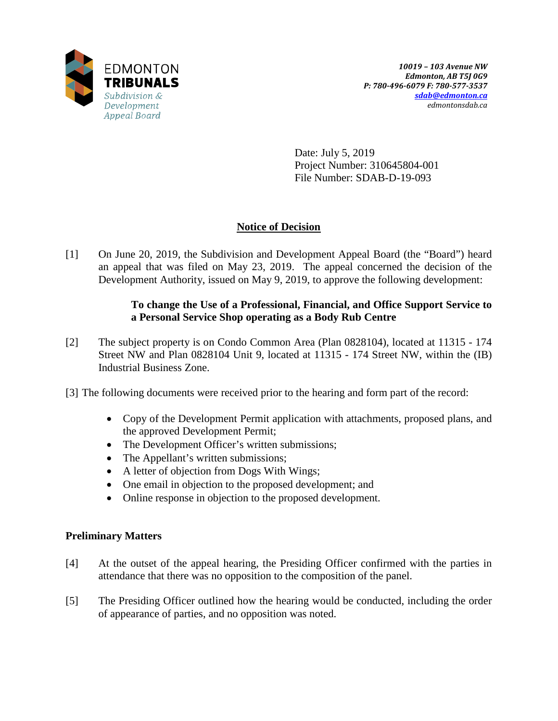

Date: July 5, 2019 Project Number: 310645804-001 File Number: SDAB-D-19-093

# **Notice of Decision**

[1] On June 20, 2019, the Subdivision and Development Appeal Board (the "Board") heard an appeal that was filed on May 23, 2019. The appeal concerned the decision of the Development Authority, issued on May 9, 2019, to approve the following development:

## **To change the Use of a Professional, Financial, and Office Support Service to a Personal Service Shop operating as a Body Rub Centre**

- [2] The subject property is on Condo Common Area (Plan 0828104), located at 11315 174 Street NW and Plan 0828104 Unit 9, located at 11315 - 174 Street NW, within the (IB) Industrial Business Zone.
- [3] The following documents were received prior to the hearing and form part of the record:
	- Copy of the Development Permit application with attachments, proposed plans, and the approved Development Permit;
	- The Development Officer's written submissions;
	- The Appellant's written submissions;
	- A letter of objection from Dogs With Wings;
	- One email in objection to the proposed development; and
	- Online response in objection to the proposed development.

## **Preliminary Matters**

- [4] At the outset of the appeal hearing, the Presiding Officer confirmed with the parties in attendance that there was no opposition to the composition of the panel.
- [5] The Presiding Officer outlined how the hearing would be conducted, including the order of appearance of parties, and no opposition was noted.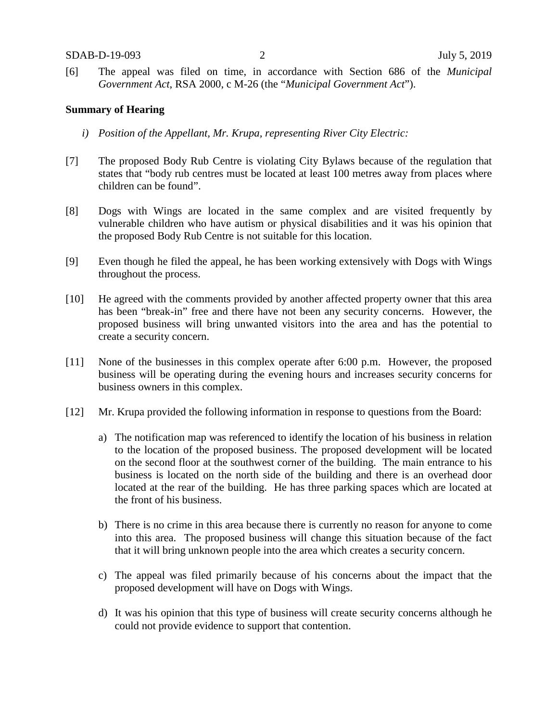[6] The appeal was filed on time, in accordance with Section 686 of the *Municipal Government Act*, RSA 2000, c M-26 (the "*Municipal Government Act*").

### **Summary of Hearing**

- *i) Position of the Appellant, Mr. Krupa, representing River City Electric:*
- [7] The proposed Body Rub Centre is violating City Bylaws because of the regulation that states that "body rub centres must be located at least 100 metres away from places where children can be found".
- [8] Dogs with Wings are located in the same complex and are visited frequently by vulnerable children who have autism or physical disabilities and it was his opinion that the proposed Body Rub Centre is not suitable for this location.
- [9] Even though he filed the appeal, he has been working extensively with Dogs with Wings throughout the process.
- [10] He agreed with the comments provided by another affected property owner that this area has been "break-in" free and there have not been any security concerns. However, the proposed business will bring unwanted visitors into the area and has the potential to create a security concern.
- [11] None of the businesses in this complex operate after 6:00 p.m. However, the proposed business will be operating during the evening hours and increases security concerns for business owners in this complex.
- [12] Mr. Krupa provided the following information in response to questions from the Board:
	- a) The notification map was referenced to identify the location of his business in relation to the location of the proposed business. The proposed development will be located on the second floor at the southwest corner of the building. The main entrance to his business is located on the north side of the building and there is an overhead door located at the rear of the building. He has three parking spaces which are located at the front of his business.
	- b) There is no crime in this area because there is currently no reason for anyone to come into this area. The proposed business will change this situation because of the fact that it will bring unknown people into the area which creates a security concern.
	- c) The appeal was filed primarily because of his concerns about the impact that the proposed development will have on Dogs with Wings.
	- d) It was his opinion that this type of business will create security concerns although he could not provide evidence to support that contention.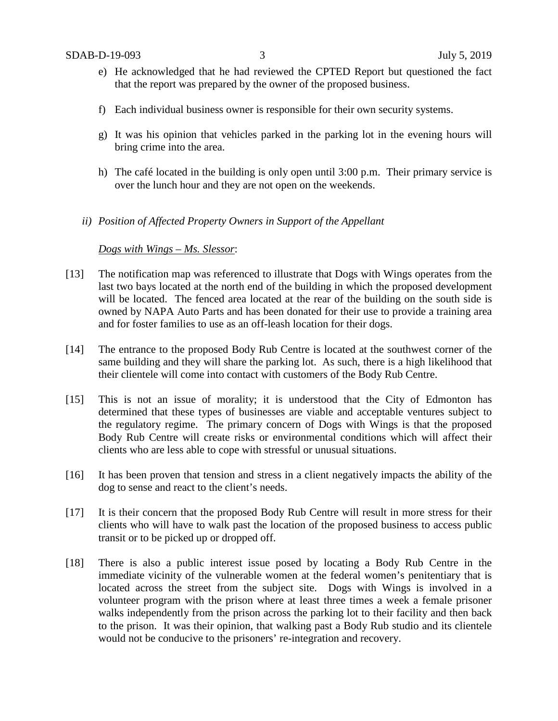- e) He acknowledged that he had reviewed the CPTED Report but questioned the fact that the report was prepared by the owner of the proposed business.
- f) Each individual business owner is responsible for their own security systems.
- g) It was his opinion that vehicles parked in the parking lot in the evening hours will bring crime into the area.
- h) The café located in the building is only open until 3:00 p.m. Their primary service is over the lunch hour and they are not open on the weekends.
- *ii) Position of Affected Property Owners in Support of the Appellant*

#### *Dogs with Wings – Ms. Slessor*:

- [13] The notification map was referenced to illustrate that Dogs with Wings operates from the last two bays located at the north end of the building in which the proposed development will be located. The fenced area located at the rear of the building on the south side is owned by NAPA Auto Parts and has been donated for their use to provide a training area and for foster families to use as an off-leash location for their dogs.
- [14] The entrance to the proposed Body Rub Centre is located at the southwest corner of the same building and they will share the parking lot. As such, there is a high likelihood that their clientele will come into contact with customers of the Body Rub Centre.
- [15] This is not an issue of morality; it is understood that the City of Edmonton has determined that these types of businesses are viable and acceptable ventures subject to the regulatory regime. The primary concern of Dogs with Wings is that the proposed Body Rub Centre will create risks or environmental conditions which will affect their clients who are less able to cope with stressful or unusual situations.
- [16] It has been proven that tension and stress in a client negatively impacts the ability of the dog to sense and react to the client's needs.
- [17] It is their concern that the proposed Body Rub Centre will result in more stress for their clients who will have to walk past the location of the proposed business to access public transit or to be picked up or dropped off.
- [18] There is also a public interest issue posed by locating a Body Rub Centre in the immediate vicinity of the vulnerable women at the federal women's penitentiary that is located across the street from the subject site. Dogs with Wings is involved in a volunteer program with the prison where at least three times a week a female prisoner walks independently from the prison across the parking lot to their facility and then back to the prison. It was their opinion, that walking past a Body Rub studio and its clientele would not be conducive to the prisoners' re-integration and recovery.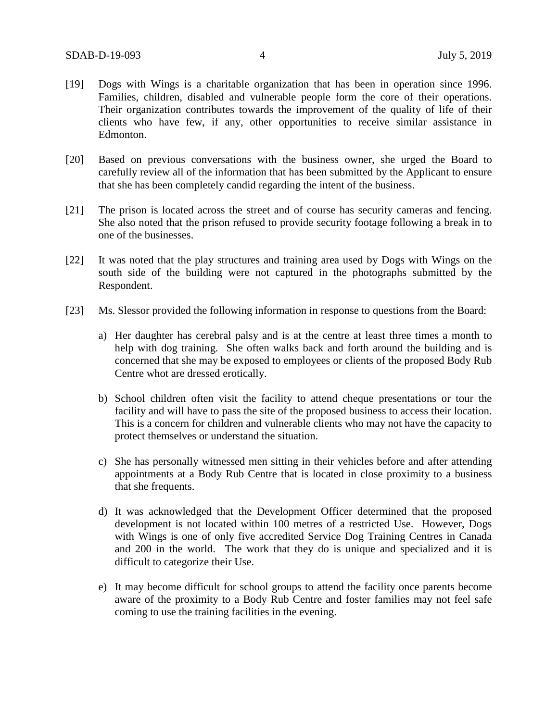- [19] Dogs with Wings is a charitable organization that has been in operation since 1996. Families, children, disabled and vulnerable people form the core of their operations. Their organization contributes towards the improvement of the quality of life of their clients who have few, if any, other opportunities to receive similar assistance in Edmonton.
- [20] Based on previous conversations with the business owner, she urged the Board to carefully review all of the information that has been submitted by the Applicant to ensure that she has been completely candid regarding the intent of the business.
- [21] The prison is located across the street and of course has security cameras and fencing. She also noted that the prison refused to provide security footage following a break in to one of the businesses.
- [22] It was noted that the play structures and training area used by Dogs with Wings on the south side of the building were not captured in the photographs submitted by the Respondent.
- [23] Ms. Slessor provided the following information in response to questions from the Board:
	- a) Her daughter has cerebral palsy and is at the centre at least three times a month to help with dog training. She often walks back and forth around the building and is concerned that she may be exposed to employees or clients of the proposed Body Rub Centre whot are dressed erotically.
	- b) School children often visit the facility to attend cheque presentations or tour the facility and will have to pass the site of the proposed business to access their location. This is a concern for children and vulnerable clients who may not have the capacity to protect themselves or understand the situation.
	- c) She has personally witnessed men sitting in their vehicles before and after attending appointments at a Body Rub Centre that is located in close proximity to a business that she frequents.
	- d) It was acknowledged that the Development Officer determined that the proposed development is not located within 100 metres of a restricted Use. However, Dogs with Wings is one of only five accredited Service Dog Training Centres in Canada and 200 in the world. The work that they do is unique and specialized and it is difficult to categorize their Use.
	- e) It may become difficult for school groups to attend the facility once parents become aware of the proximity to a Body Rub Centre and foster families may not feel safe coming to use the training facilities in the evening.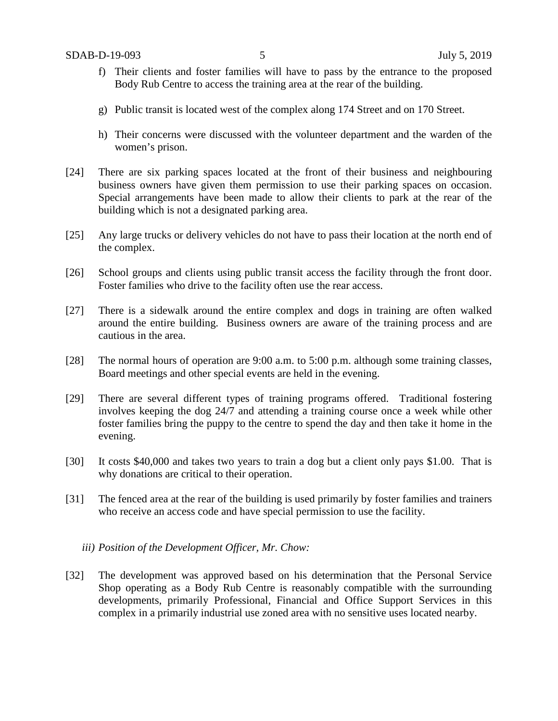- f) Their clients and foster families will have to pass by the entrance to the proposed Body Rub Centre to access the training area at the rear of the building.
- g) Public transit is located west of the complex along 174 Street and on 170 Street.
- h) Their concerns were discussed with the volunteer department and the warden of the women's prison.
- [24] There are six parking spaces located at the front of their business and neighbouring business owners have given them permission to use their parking spaces on occasion. Special arrangements have been made to allow their clients to park at the rear of the building which is not a designated parking area.
- [25] Any large trucks or delivery vehicles do not have to pass their location at the north end of the complex.
- [26] School groups and clients using public transit access the facility through the front door. Foster families who drive to the facility often use the rear access.
- [27] There is a sidewalk around the entire complex and dogs in training are often walked around the entire building. Business owners are aware of the training process and are cautious in the area.
- [28] The normal hours of operation are 9:00 a.m. to 5:00 p.m. although some training classes, Board meetings and other special events are held in the evening.
- [29] There are several different types of training programs offered. Traditional fostering involves keeping the dog 24/7 and attending a training course once a week while other foster families bring the puppy to the centre to spend the day and then take it home in the evening.
- [30] It costs \$40,000 and takes two years to train a dog but a client only pays \$1.00. That is why donations are critical to their operation.
- [31] The fenced area at the rear of the building is used primarily by foster families and trainers who receive an access code and have special permission to use the facility.
	- *iii) Position of the Development Officer, Mr. Chow:*
- [32] The development was approved based on his determination that the Personal Service Shop operating as a Body Rub Centre is reasonably compatible with the surrounding developments, primarily Professional, Financial and Office Support Services in this complex in a primarily industrial use zoned area with no sensitive uses located nearby.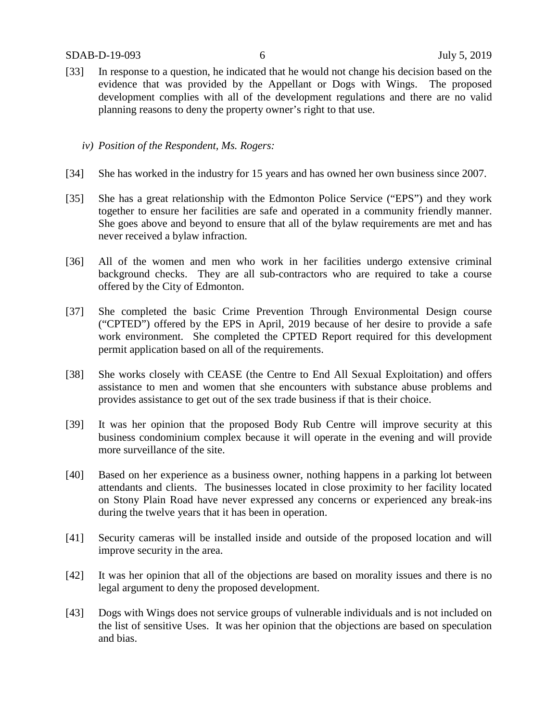- [33] In response to a question, he indicated that he would not change his decision based on the evidence that was provided by the Appellant or Dogs with Wings. The proposed development complies with all of the development regulations and there are no valid planning reasons to deny the property owner's right to that use.
	- *iv) Position of the Respondent, Ms. Rogers:*
- [34] She has worked in the industry for 15 years and has owned her own business since 2007.
- [35] She has a great relationship with the Edmonton Police Service ("EPS") and they work together to ensure her facilities are safe and operated in a community friendly manner. She goes above and beyond to ensure that all of the bylaw requirements are met and has never received a bylaw infraction.
- [36] All of the women and men who work in her facilities undergo extensive criminal background checks. They are all sub-contractors who are required to take a course offered by the City of Edmonton.
- [37] She completed the basic Crime Prevention Through Environmental Design course ("CPTED") offered by the EPS in April, 2019 because of her desire to provide a safe work environment. She completed the CPTED Report required for this development permit application based on all of the requirements.
- [38] She works closely with CEASE (the Centre to End All Sexual Exploitation) and offers assistance to men and women that she encounters with substance abuse problems and provides assistance to get out of the sex trade business if that is their choice.
- [39] It was her opinion that the proposed Body Rub Centre will improve security at this business condominium complex because it will operate in the evening and will provide more surveillance of the site.
- [40] Based on her experience as a business owner, nothing happens in a parking lot between attendants and clients. The businesses located in close proximity to her facility located on Stony Plain Road have never expressed any concerns or experienced any break-ins during the twelve years that it has been in operation.
- [41] Security cameras will be installed inside and outside of the proposed location and will improve security in the area.
- [42] It was her opinion that all of the objections are based on morality issues and there is no legal argument to deny the proposed development.
- [43] Dogs with Wings does not service groups of vulnerable individuals and is not included on the list of sensitive Uses. It was her opinion that the objections are based on speculation and bias.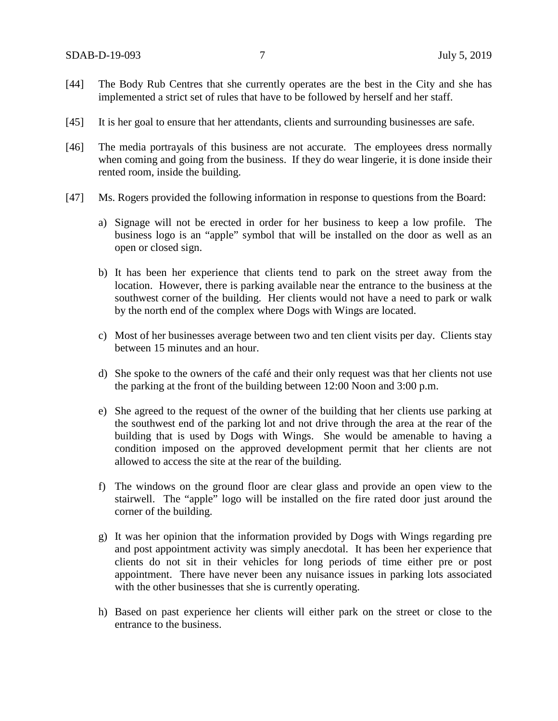- [44] The Body Rub Centres that she currently operates are the best in the City and she has implemented a strict set of rules that have to be followed by herself and her staff.
- [45] It is her goal to ensure that her attendants, clients and surrounding businesses are safe.
- [46] The media portrayals of this business are not accurate. The employees dress normally when coming and going from the business. If they do wear lingerie, it is done inside their rented room, inside the building.
- [47] Ms. Rogers provided the following information in response to questions from the Board:
	- a) Signage will not be erected in order for her business to keep a low profile. The business logo is an "apple" symbol that will be installed on the door as well as an open or closed sign.
	- b) It has been her experience that clients tend to park on the street away from the location. However, there is parking available near the entrance to the business at the southwest corner of the building. Her clients would not have a need to park or walk by the north end of the complex where Dogs with Wings are located.
	- c) Most of her businesses average between two and ten client visits per day. Clients stay between 15 minutes and an hour.
	- d) She spoke to the owners of the café and their only request was that her clients not use the parking at the front of the building between 12:00 Noon and 3:00 p.m.
	- e) She agreed to the request of the owner of the building that her clients use parking at the southwest end of the parking lot and not drive through the area at the rear of the building that is used by Dogs with Wings. She would be amenable to having a condition imposed on the approved development permit that her clients are not allowed to access the site at the rear of the building.
	- f) The windows on the ground floor are clear glass and provide an open view to the stairwell. The "apple" logo will be installed on the fire rated door just around the corner of the building.
	- g) It was her opinion that the information provided by Dogs with Wings regarding pre and post appointment activity was simply anecdotal. It has been her experience that clients do not sit in their vehicles for long periods of time either pre or post appointment. There have never been any nuisance issues in parking lots associated with the other businesses that she is currently operating.
	- h) Based on past experience her clients will either park on the street or close to the entrance to the business.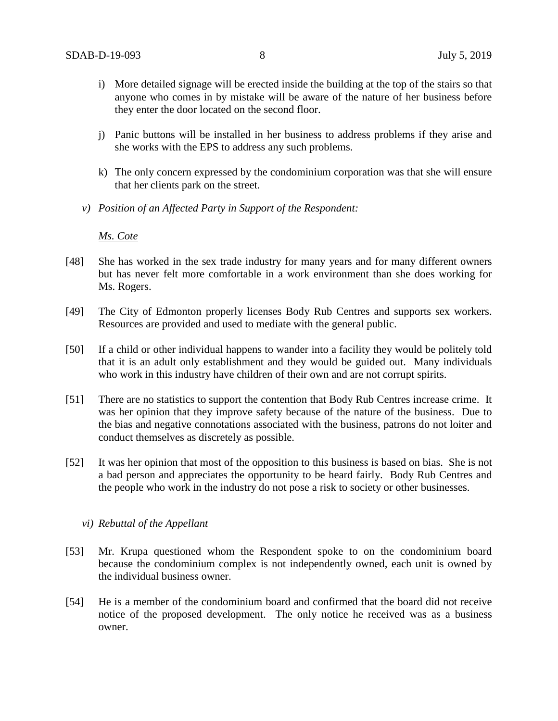- i) More detailed signage will be erected inside the building at the top of the stairs so that anyone who comes in by mistake will be aware of the nature of her business before they enter the door located on the second floor.
- j) Panic buttons will be installed in her business to address problems if they arise and she works with the EPS to address any such problems.
- k) The only concern expressed by the condominium corporation was that she will ensure that her clients park on the street.
- *v) Position of an Affected Party in Support of the Respondent:*

*Ms. Cote*

- [48] She has worked in the sex trade industry for many years and for many different owners but has never felt more comfortable in a work environment than she does working for Ms. Rogers.
- [49] The City of Edmonton properly licenses Body Rub Centres and supports sex workers. Resources are provided and used to mediate with the general public.
- [50] If a child or other individual happens to wander into a facility they would be politely told that it is an adult only establishment and they would be guided out. Many individuals who work in this industry have children of their own and are not corrupt spirits.
- [51] There are no statistics to support the contention that Body Rub Centres increase crime. It was her opinion that they improve safety because of the nature of the business. Due to the bias and negative connotations associated with the business, patrons do not loiter and conduct themselves as discretely as possible.
- [52] It was her opinion that most of the opposition to this business is based on bias. She is not a bad person and appreciates the opportunity to be heard fairly. Body Rub Centres and the people who work in the industry do not pose a risk to society or other businesses.

#### *vi) Rebuttal of the Appellant*

- [53] Mr. Krupa questioned whom the Respondent spoke to on the condominium board because the condominium complex is not independently owned, each unit is owned by the individual business owner.
- [54] He is a member of the condominium board and confirmed that the board did not receive notice of the proposed development. The only notice he received was as a business owner.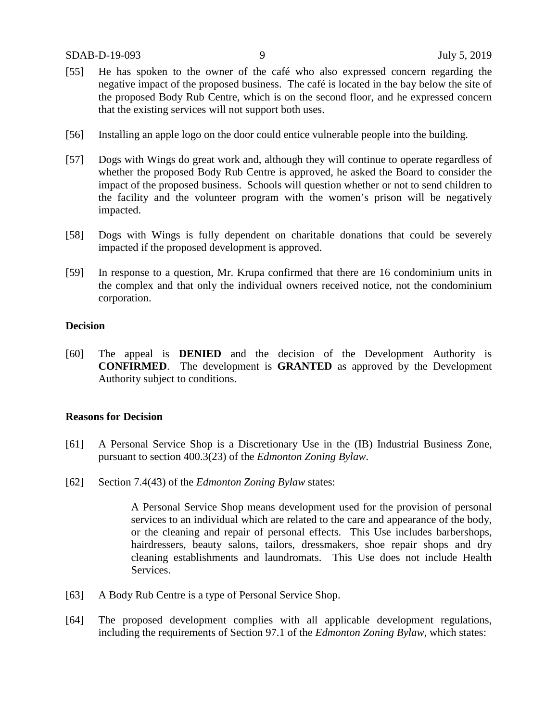- [55] He has spoken to the owner of the café who also expressed concern regarding the negative impact of the proposed business. The café is located in the bay below the site of the proposed Body Rub Centre, which is on the second floor, and he expressed concern that the existing services will not support both uses.
- [56] Installing an apple logo on the door could entice vulnerable people into the building.
- [57] Dogs with Wings do great work and, although they will continue to operate regardless of whether the proposed Body Rub Centre is approved, he asked the Board to consider the impact of the proposed business. Schools will question whether or not to send children to the facility and the volunteer program with the women's prison will be negatively impacted.
- [58] Dogs with Wings is fully dependent on charitable donations that could be severely impacted if the proposed development is approved.
- [59] In response to a question, Mr. Krupa confirmed that there are 16 condominium units in the complex and that only the individual owners received notice, not the condominium corporation.

#### **Decision**

[60] The appeal is **DENIED** and the decision of the Development Authority is **CONFIRMED**. The development is **GRANTED** as approved by the Development Authority subject to conditions.

### **Reasons for Decision**

- [61] A Personal Service Shop is a Discretionary Use in the (IB) Industrial Business Zone, pursuant to section 400.3(23) of the *Edmonton Zoning Bylaw*.
- [62] Section 7.4(43) of the *Edmonton Zoning Bylaw* states:

A Personal Service Shop means development used for the provision of personal services to an individual which are related to the care and appearance of the body, or the cleaning and repair of personal effects. This Use includes barbershops, hairdressers, beauty salons, tailors, dressmakers, shoe repair shops and dry cleaning establishments and laundromats. This Use does not include Health Services.

- [63] A Body Rub Centre is a type of Personal Service Shop.
- [64] The proposed development complies with all applicable development regulations, including the requirements of Section 97.1 of the *Edmonton Zoning Bylaw*, which states: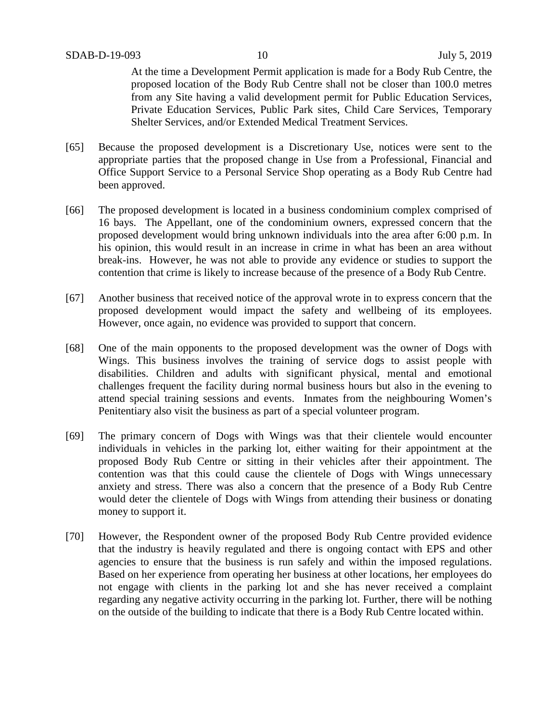At the time a Development Permit application is made for a Body Rub Centre, the proposed location of the Body Rub Centre shall not be closer than 100.0 metres from any Site having a valid development permit for Public Education Services, Private Education Services, Public Park sites, Child Care Services, Temporary Shelter Services, and/or Extended Medical Treatment Services.

- [65] Because the proposed development is a Discretionary Use, notices were sent to the appropriate parties that the proposed change in Use from a Professional, Financial and Office Support Service to a Personal Service Shop operating as a Body Rub Centre had been approved.
- [66] The proposed development is located in a business condominium complex comprised of 16 bays. The Appellant, one of the condominium owners, expressed concern that the proposed development would bring unknown individuals into the area after 6:00 p.m. In his opinion, this would result in an increase in crime in what has been an area without break-ins. However, he was not able to provide any evidence or studies to support the contention that crime is likely to increase because of the presence of a Body Rub Centre.
- [67] Another business that received notice of the approval wrote in to express concern that the proposed development would impact the safety and wellbeing of its employees. However, once again, no evidence was provided to support that concern.
- [68] One of the main opponents to the proposed development was the owner of Dogs with Wings. This business involves the training of service dogs to assist people with disabilities. Children and adults with significant physical, mental and emotional challenges frequent the facility during normal business hours but also in the evening to attend special training sessions and events. Inmates from the neighbouring Women's Penitentiary also visit the business as part of a special volunteer program.
- [69] The primary concern of Dogs with Wings was that their clientele would encounter individuals in vehicles in the parking lot, either waiting for their appointment at the proposed Body Rub Centre or sitting in their vehicles after their appointment. The contention was that this could cause the clientele of Dogs with Wings unnecessary anxiety and stress. There was also a concern that the presence of a Body Rub Centre would deter the clientele of Dogs with Wings from attending their business or donating money to support it.
- [70] However, the Respondent owner of the proposed Body Rub Centre provided evidence that the industry is heavily regulated and there is ongoing contact with EPS and other agencies to ensure that the business is run safely and within the imposed regulations. Based on her experience from operating her business at other locations, her employees do not engage with clients in the parking lot and she has never received a complaint regarding any negative activity occurring in the parking lot. Further, there will be nothing on the outside of the building to indicate that there is a Body Rub Centre located within.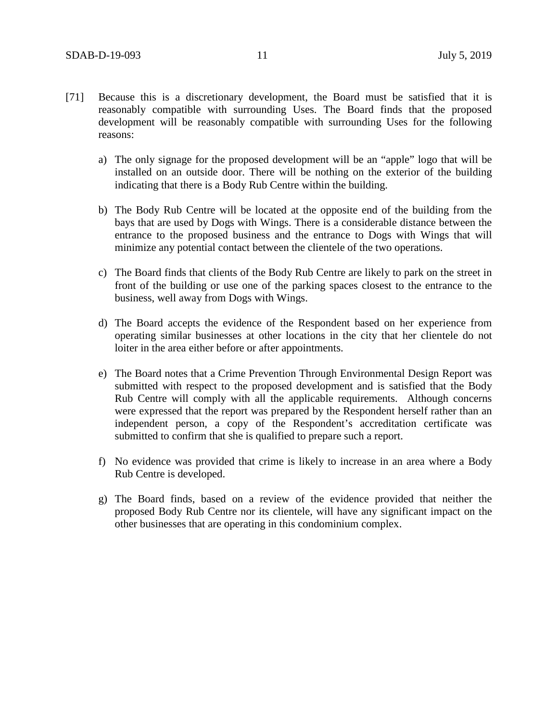- [71] Because this is a discretionary development, the Board must be satisfied that it is reasonably compatible with surrounding Uses. The Board finds that the proposed development will be reasonably compatible with surrounding Uses for the following reasons:
	- a) The only signage for the proposed development will be an "apple" logo that will be installed on an outside door. There will be nothing on the exterior of the building indicating that there is a Body Rub Centre within the building.
	- b) The Body Rub Centre will be located at the opposite end of the building from the bays that are used by Dogs with Wings. There is a considerable distance between the entrance to the proposed business and the entrance to Dogs with Wings that will minimize any potential contact between the clientele of the two operations.
	- c) The Board finds that clients of the Body Rub Centre are likely to park on the street in front of the building or use one of the parking spaces closest to the entrance to the business, well away from Dogs with Wings.
	- d) The Board accepts the evidence of the Respondent based on her experience from operating similar businesses at other locations in the city that her clientele do not loiter in the area either before or after appointments.
	- e) The Board notes that a Crime Prevention Through Environmental Design Report was submitted with respect to the proposed development and is satisfied that the Body Rub Centre will comply with all the applicable requirements. Although concerns were expressed that the report was prepared by the Respondent herself rather than an independent person, a copy of the Respondent's accreditation certificate was submitted to confirm that she is qualified to prepare such a report.
	- f) No evidence was provided that crime is likely to increase in an area where a Body Rub Centre is developed.
	- g) The Board finds, based on a review of the evidence provided that neither the proposed Body Rub Centre nor its clientele, will have any significant impact on the other businesses that are operating in this condominium complex.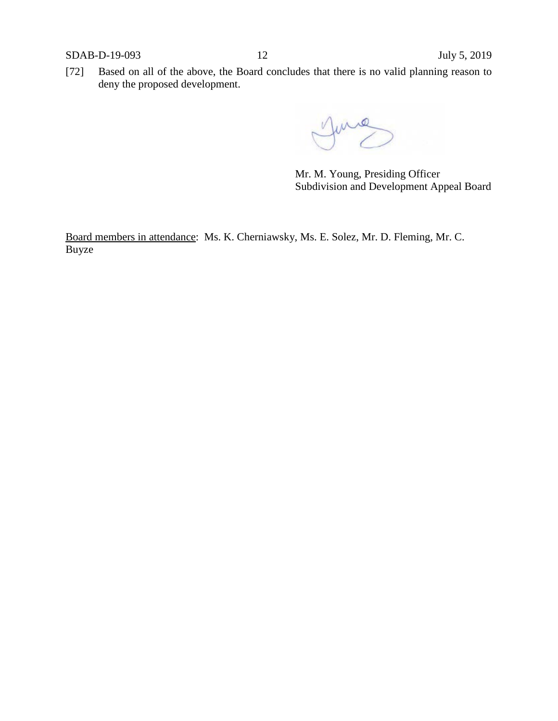[72] Based on all of the above, the Board concludes that there is no valid planning reason to deny the proposed development.

Mr. M. Young, Presiding Officer Subdivision and Development Appeal Board

Board members in attendance: Ms. K. Cherniawsky, Ms. E. Solez, Mr. D. Fleming, Mr. C. Buyze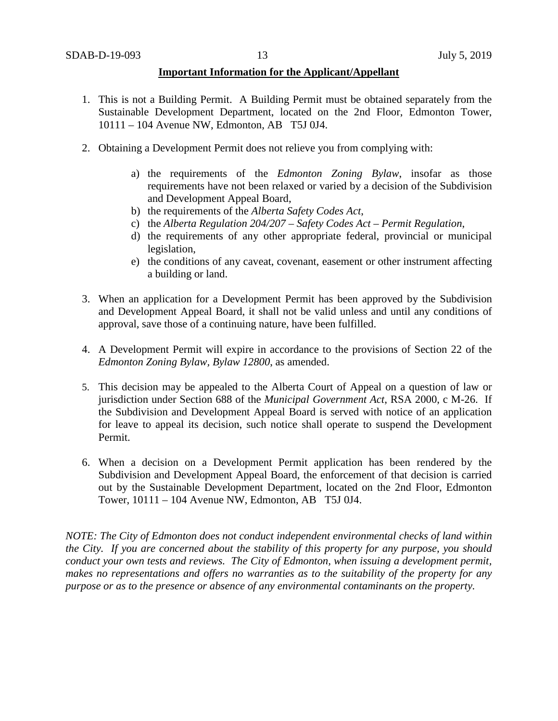#### **Important Information for the Applicant/Appellant**

- 1. This is not a Building Permit. A Building Permit must be obtained separately from the Sustainable Development Department, located on the 2nd Floor, Edmonton Tower, 10111 – 104 Avenue NW, Edmonton, AB T5J 0J4.
- 2. Obtaining a Development Permit does not relieve you from complying with:
	- a) the requirements of the *Edmonton Zoning Bylaw*, insofar as those requirements have not been relaxed or varied by a decision of the Subdivision and Development Appeal Board,
	- b) the requirements of the *Alberta Safety Codes Act*,
	- c) the *Alberta Regulation 204/207 – Safety Codes Act – Permit Regulation*,
	- d) the requirements of any other appropriate federal, provincial or municipal legislation,
	- e) the conditions of any caveat, covenant, easement or other instrument affecting a building or land.
- 3. When an application for a Development Permit has been approved by the Subdivision and Development Appeal Board, it shall not be valid unless and until any conditions of approval, save those of a continuing nature, have been fulfilled.
- 4. A Development Permit will expire in accordance to the provisions of Section 22 of the *Edmonton Zoning Bylaw, Bylaw 12800*, as amended.
- 5. This decision may be appealed to the Alberta Court of Appeal on a question of law or jurisdiction under Section 688 of the *Municipal Government Act*, RSA 2000, c M-26. If the Subdivision and Development Appeal Board is served with notice of an application for leave to appeal its decision, such notice shall operate to suspend the Development Permit.
- 6. When a decision on a Development Permit application has been rendered by the Subdivision and Development Appeal Board, the enforcement of that decision is carried out by the Sustainable Development Department, located on the 2nd Floor, Edmonton Tower, 10111 – 104 Avenue NW, Edmonton, AB T5J 0J4.

*NOTE: The City of Edmonton does not conduct independent environmental checks of land within the City. If you are concerned about the stability of this property for any purpose, you should conduct your own tests and reviews. The City of Edmonton, when issuing a development permit, makes no representations and offers no warranties as to the suitability of the property for any purpose or as to the presence or absence of any environmental contaminants on the property.*